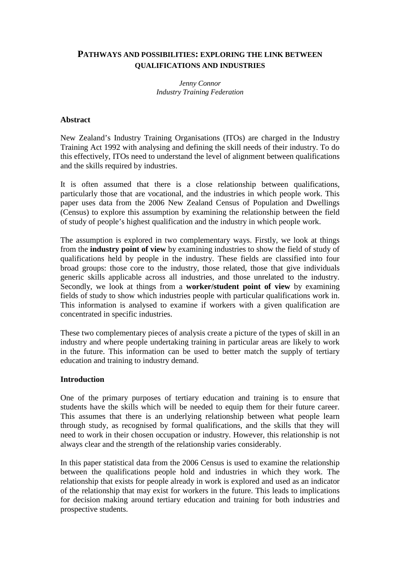# **PATHWAYS AND POSSIBILITIES: EXPLORING THE LINK BETWEEN QUALIFICATIONS AND INDUSTRIES**

*Jenny Connor Industry Training Federation* 

#### **Abstract**

New Zealand's Industry Training Organisations (ITOs) are charged in the Industry Training Act 1992 with analysing and defining the skill needs of their industry. To do this effectively, ITOs need to understand the level of alignment between qualifications and the skills required by industries.

It is often assumed that there is a close relationship between qualifications, particularly those that are vocational, and the industries in which people work. This paper uses data from the 2006 New Zealand Census of Population and Dwellings (Census) to explore this assumption by examining the relationship between the field of study of people's highest qualification and the industry in which people work.

The assumption is explored in two complementary ways. Firstly, we look at things from the **industry point of view** by examining industries to show the field of study of qualifications held by people in the industry. These fields are classified into four broad groups: those core to the industry, those related, those that give individuals generic skills applicable across all industries, and those unrelated to the industry. Secondly, we look at things from a **worker/student point of view** by examining fields of study to show which industries people with particular qualifications work in. This information is analysed to examine if workers with a given qualification are concentrated in specific industries.

These two complementary pieces of analysis create a picture of the types of skill in an industry and where people undertaking training in particular areas are likely to work in the future. This information can be used to better match the supply of tertiary education and training to industry demand.

#### **Introduction**

One of the primary purposes of tertiary education and training is to ensure that students have the skills which will be needed to equip them for their future career. This assumes that there is an underlying relationship between what people learn through study, as recognised by formal qualifications, and the skills that they will need to work in their chosen occupation or industry. However, this relationship is not always clear and the strength of the relationship varies considerably.

In this paper statistical data from the 2006 Census is used to examine the relationship between the qualifications people hold and industries in which they work. The relationship that exists for people already in work is explored and used as an indicator of the relationship that may exist for workers in the future. This leads to implications for decision making around tertiary education and training for both industries and prospective students.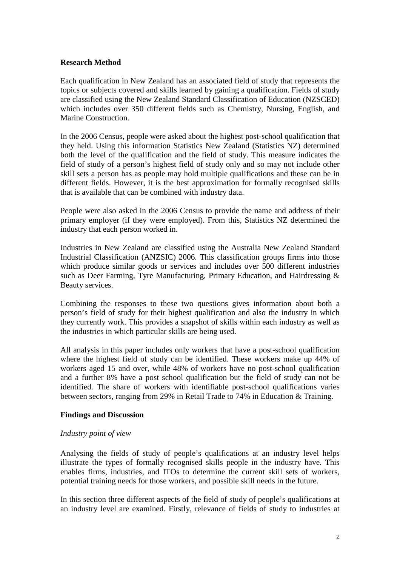#### **Research Method**

Each qualification in New Zealand has an associated field of study that represents the topics or subjects covered and skills learned by gaining a qualification. Fields of study are classified using the New Zealand Standard Classification of Education (NZSCED) which includes over 350 different fields such as Chemistry, Nursing, English, and Marine Construction.

In the 2006 Census, people were asked about the highest post-school qualification that they held. Using this information Statistics New Zealand (Statistics NZ) determined both the level of the qualification and the field of study. This measure indicates the field of study of a person's highest field of study only and so may not include other skill sets a person has as people may hold multiple qualifications and these can be in different fields. However, it is the best approximation for formally recognised skills that is available that can be combined with industry data.

People were also asked in the 2006 Census to provide the name and address of their primary employer (if they were employed). From this, Statistics NZ determined the industry that each person worked in.

Industries in New Zealand are classified using the Australia New Zealand Standard Industrial Classification (ANZSIC) 2006. This classification groups firms into those which produce similar goods or services and includes over 500 different industries such as Deer Farming, Tyre Manufacturing, Primary Education, and Hairdressing & Beauty services.

Combining the responses to these two questions gives information about both a person's field of study for their highest qualification and also the industry in which they currently work. This provides a snapshot of skills within each industry as well as the industries in which particular skills are being used.

All analysis in this paper includes only workers that have a post-school qualification where the highest field of study can be identified. These workers make up 44% of workers aged 15 and over, while 48% of workers have no post-school qualification and a further 8% have a post school qualification but the field of study can not be identified. The share of workers with identifiable post-school qualifications varies between sectors, ranging from 29% in Retail Trade to 74% in Education & Training.

### **Findings and Discussion**

### *Industry point of view*

Analysing the fields of study of people's qualifications at an industry level helps illustrate the types of formally recognised skills people in the industry have. This enables firms, industries, and ITOs to determine the current skill sets of workers, potential training needs for those workers, and possible skill needs in the future.

In this section three different aspects of the field of study of people's qualifications at an industry level are examined. Firstly, relevance of fields of study to industries at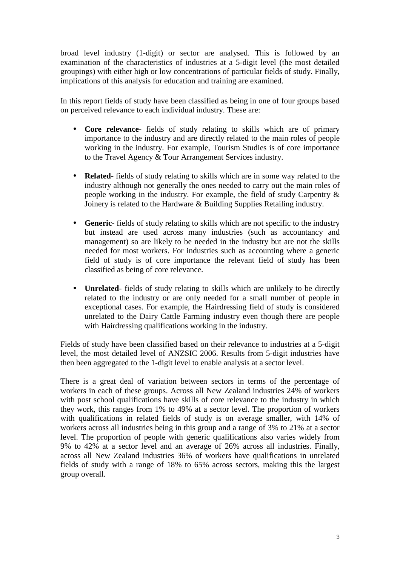broad level industry (1-digit) or sector are analysed. This is followed by an examination of the characteristics of industries at a 5-digit level (the most detailed groupings) with either high or low concentrations of particular fields of study. Finally, implications of this analysis for education and training are examined.

In this report fields of study have been classified as being in one of four groups based on perceived relevance to each individual industry. These are:

- **Core relevance** fields of study relating to skills which are of primary importance to the industry and are directly related to the main roles of people working in the industry. For example, Tourism Studies is of core importance to the Travel Agency & Tour Arrangement Services industry.
- **Related** fields of study relating to skills which are in some way related to the industry although not generally the ones needed to carry out the main roles of people working in the industry. For example, the field of study Carpentry & Joinery is related to the Hardware & Building Supplies Retailing industry.
- **Generic** fields of study relating to skills which are not specific to the industry but instead are used across many industries (such as accountancy and management) so are likely to be needed in the industry but are not the skills needed for most workers. For industries such as accounting where a generic field of study is of core importance the relevant field of study has been classified as being of core relevance.
- **Unrelated** fields of study relating to skills which are unlikely to be directly related to the industry or are only needed for a small number of people in exceptional cases. For example, the Hairdressing field of study is considered unrelated to the Dairy Cattle Farming industry even though there are people with Hairdressing qualifications working in the industry.

Fields of study have been classified based on their relevance to industries at a 5-digit level, the most detailed level of ANZSIC 2006. Results from 5-digit industries have then been aggregated to the 1-digit level to enable analysis at a sector level.

There is a great deal of variation between sectors in terms of the percentage of workers in each of these groups. Across all New Zealand industries 24% of workers with post school qualifications have skills of core relevance to the industry in which they work, this ranges from 1% to 49% at a sector level. The proportion of workers with qualifications in related fields of study is on average smaller, with 14% of workers across all industries being in this group and a range of 3% to 21% at a sector level. The proportion of people with generic qualifications also varies widely from 9% to 42% at a sector level and an average of 26% across all industries. Finally, across all New Zealand industries 36% of workers have qualifications in unrelated fields of study with a range of 18% to 65% across sectors, making this the largest group overall.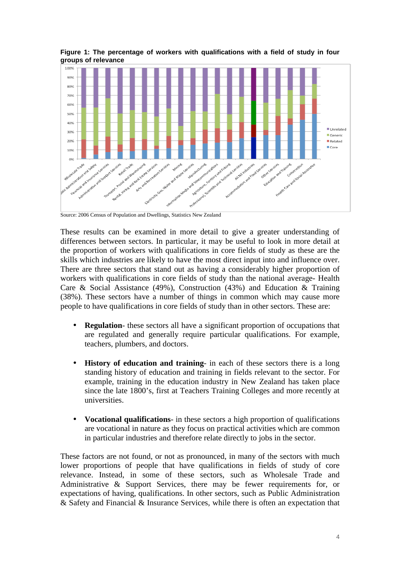

**Figure 1: The percentage of workers with qualifications with a field of study in four groups of relevance** 

Source: 2006 Census of Population and Dwellings, Statistics New Zealand

These results can be examined in more detail to give a greater understanding of differences between sectors. In particular, it may be useful to look in more detail at the proportion of workers with qualifications in core fields of study as these are the skills which industries are likely to have the most direct input into and influence over. There are three sectors that stand out as having a considerably higher proportion of workers with qualifications in core fields of study than the national average- Health Care & Social Assistance (49%), Construction (43%) and Education & Training (38%). These sectors have a number of things in common which may cause more people to have qualifications in core fields of study than in other sectors. These are:

- **Regulation** these sectors all have a significant proportion of occupations that are regulated and generally require particular qualifications. For example, teachers, plumbers, and doctors.
- **History of education and training** in each of these sectors there is a long standing history of education and training in fields relevant to the sector. For example, training in the education industry in New Zealand has taken place since the late 1800's, first at Teachers Training Colleges and more recently at universities.
- **Vocational qualifications** in these sectors a high proportion of qualifications are vocational in nature as they focus on practical activities which are common in particular industries and therefore relate directly to jobs in the sector.

These factors are not found, or not as pronounced, in many of the sectors with much lower proportions of people that have qualifications in fields of study of core relevance. Instead, in some of these sectors, such as Wholesale Trade and Administrative & Support Services, there may be fewer requirements for, or expectations of having, qualifications. In other sectors, such as Public Administration & Safety and Financial & Insurance Services, while there is often an expectation that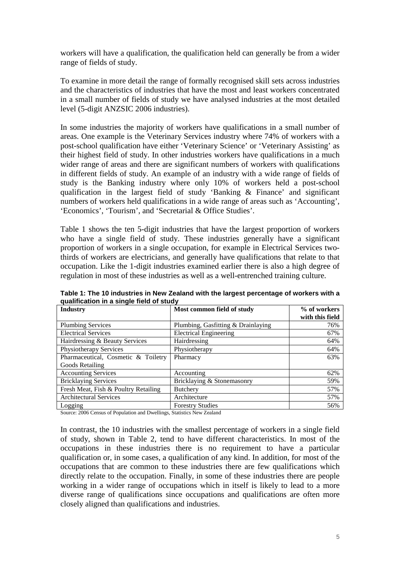workers will have a qualification, the qualification held can generally be from a wider range of fields of study.

To examine in more detail the range of formally recognised skill sets across industries and the characteristics of industries that have the most and least workers concentrated in a small number of fields of study we have analysed industries at the most detailed level (5-digit ANZSIC 2006 industries).

In some industries the majority of workers have qualifications in a small number of areas. One example is the Veterinary Services industry where 74% of workers with a post-school qualification have either 'Veterinary Science' or 'Veterinary Assisting' as their highest field of study. In other industries workers have qualifications in a much wider range of areas and there are significant numbers of workers with qualifications in different fields of study. An example of an industry with a wide range of fields of study is the Banking industry where only 10% of workers held a post-school qualification in the largest field of study 'Banking & Finance' and significant numbers of workers held qualifications in a wide range of areas such as 'Accounting', 'Economics', 'Tourism', and 'Secretarial & Office Studies'.

Table 1 shows the ten 5-digit industries that have the largest proportion of workers who have a single field of study. These industries generally have a significant proportion of workers in a single occupation, for example in Electrical Services twothirds of workers are electricians, and generally have qualifications that relate to that occupation. Like the 1-digit industries examined earlier there is also a high degree of regulation in most of these industries as well as a well-entrenched training culture.

| <b>Industry</b>                      | Most common field of study         | % of workers<br>with this field |
|--------------------------------------|------------------------------------|---------------------------------|
|                                      |                                    |                                 |
| <b>Plumbing Services</b>             | Plumbing, Gasfitting & Drainlaying | 76%                             |
| <b>Electrical Services</b>           | <b>Electrical Engineering</b>      | 67%                             |
| Hairdressing & Beauty Services       | Hairdressing                       | 64%                             |
| Physiotherapy Services               | Physiotherapy                      | 64%                             |
| Pharmaceutical, Cosmetic & Toiletry  | Pharmacy                           | 63%                             |
| Goods Retailing                      |                                    |                                 |
| <b>Accounting Services</b>           | Accounting                         | 62%                             |
| <b>Bricklaying Services</b>          | Bricklaying & Stonemasonry         | 59%                             |
| Fresh Meat, Fish & Poultry Retailing | <b>Butchery</b>                    | 57%                             |
| <b>Architectural Services</b>        | Architecture                       | 57%                             |
| Logging                              | <b>Forestry Studies</b>            | 56%                             |

**Table 1: The 10 industries in New Zealand with the largest percentage of workers with a qualification in a single field of study** 

Source: 2006 Census of Population and Dwellings, Statistics New Zealand

In contrast, the 10 industries with the smallest percentage of workers in a single field of study, shown in Table 2, tend to have different characteristics. In most of the occupations in these industries there is no requirement to have a particular qualification or, in some cases, a qualification of any kind. In addition, for most of the occupations that are common to these industries there are few qualifications which directly relate to the occupation. Finally, in some of these industries there are people working in a wider range of occupations which in itself is likely to lead to a more diverse range of qualifications since occupations and qualifications are often more closely aligned than qualifications and industries.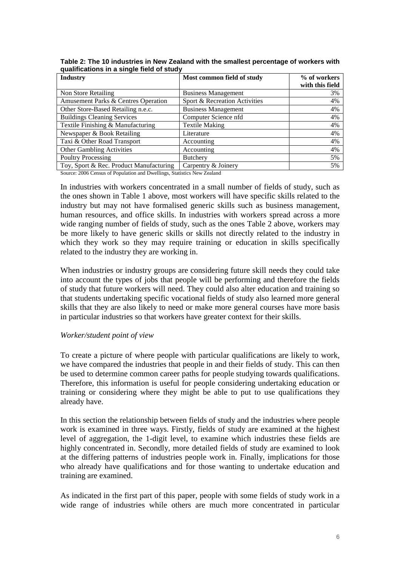| <b>Industry</b>                         | Most common field of study    | % of workers<br>with this field |
|-----------------------------------------|-------------------------------|---------------------------------|
| Non Store Retailing                     | <b>Business Management</b>    | 3%                              |
| Amusement Parks & Centres Operation     | Sport & Recreation Activities | 4%                              |
| Other Store-Based Retailing n.e.c.      | <b>Business Management</b>    | 4%                              |
| <b>Buildings Cleaning Services</b>      | Computer Science nfd          | 4%                              |
| Textile Finishing & Manufacturing       | <b>Textile Making</b>         | 4%                              |
| Newspaper & Book Retailing              | Literature                    | 4%                              |
| Taxi & Other Road Transport             | Accounting                    | 4%                              |
| Other Gambling Activities               | Accounting                    | 4%                              |
| <b>Poultry Processing</b>               | <b>Butchery</b>               | 5%                              |
| Toy, Sport & Rec. Product Manufacturing | Carpentry & Joinery           | 5%                              |

**Table 2: The 10 industries in New Zealand with the smallest percentage of workers with qualifications in a single field of study** 

Source: 2006 Census of Population and Dwellings, Statistics New Zealand

In industries with workers concentrated in a small number of fields of study, such as the ones shown in Table 1 above, most workers will have specific skills related to the industry but may not have formalised generic skills such as business management, human resources, and office skills. In industries with workers spread across a more wide ranging number of fields of study, such as the ones Table 2 above, workers may be more likely to have generic skills or skills not directly related to the industry in which they work so they may require training or education in skills specifically related to the industry they are working in.

When industries or industry groups are considering future skill needs they could take into account the types of jobs that people will be performing and therefore the fields of study that future workers will need. They could also alter education and training so that students undertaking specific vocational fields of study also learned more general skills that they are also likely to need or make more general courses have more basis in particular industries so that workers have greater context for their skills.

### *Worker/student point of view*

To create a picture of where people with particular qualifications are likely to work, we have compared the industries that people in and their fields of study. This can then be used to determine common career paths for people studying towards qualifications. Therefore, this information is useful for people considering undertaking education or training or considering where they might be able to put to use qualifications they already have.

In this section the relationship between fields of study and the industries where people work is examined in three ways. Firstly, fields of study are examined at the highest level of aggregation, the 1-digit level, to examine which industries these fields are highly concentrated in. Secondly, more detailed fields of study are examined to look at the differing patterns of industries people work in. Finally, implications for those who already have qualifications and for those wanting to undertake education and training are examined.

As indicated in the first part of this paper, people with some fields of study work in a wide range of industries while others are much more concentrated in particular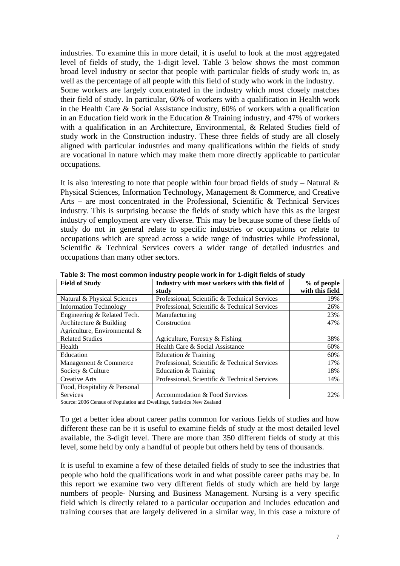industries. To examine this in more detail, it is useful to look at the most aggregated level of fields of study, the 1-digit level. Table 3 below shows the most common broad level industry or sector that people with particular fields of study work in, as well as the percentage of all people with this field of study who work in the industry. Some workers are largely concentrated in the industry which most closely matches their field of study. In particular, 60% of workers with a qualification in Health work in the Health Care & Social Assistance industry, 60% of workers with a qualification in an Education field work in the Education & Training industry, and 47% of workers with a qualification in an Architecture, Environmental, & Related Studies field of study work in the Construction industry. These three fields of study are all closely aligned with particular industries and many qualifications within the fields of study are vocational in nature which may make them more directly applicable to particular occupations.

It is also interesting to note that people within four broad fields of study – Natural  $\&$ Physical Sciences, Information Technology, Management & Commerce, and Creative Arts – are most concentrated in the Professional, Scientific & Technical Services industry. This is surprising because the fields of study which have this as the largest industry of employment are very diverse. This may be because some of these fields of study do not in general relate to specific industries or occupations or relate to occupations which are spread across a wide range of industries while Professional, Scientific & Technical Services covers a wider range of detailed industries and occupations than many other sectors.

| <b>Field of Study</b>         | Industry with most workers with this field of | % of people     |
|-------------------------------|-----------------------------------------------|-----------------|
|                               | study                                         | with this field |
| Natural & Physical Sciences   | Professional, Scientific & Technical Services | 19%             |
| <b>Information Technology</b> | Professional, Scientific & Technical Services | 26%             |
| Engineering & Related Tech.   | Manufacturing                                 | 23%             |
| Architecture & Building       | Construction                                  | 47%             |
| Agriculture, Environmental &  |                                               |                 |
| <b>Related Studies</b>        | Agriculture, Forestry & Fishing               | 38%             |
| Health                        | Health Care & Social Assistance               | 60%             |
| Education                     | Education & Training                          | 60%             |
| Management & Commerce         | Professional, Scientific & Technical Services | 17%             |
| Society & Culture             | Education & Training                          | 18%             |
| <b>Creative Arts</b>          | Professional, Scientific & Technical Services | 14%             |
| Food, Hospitality & Personal  |                                               |                 |
| <b>Services</b>               | Accommodation & Food Services                 | 22%             |

**Table 3: The most common industry people work in for 1-digit fields of study** 

Source: 2006 Census of Population and Dwellings, Statistics New Zealand

To get a better idea about career paths common for various fields of studies and how different these can be it is useful to examine fields of study at the most detailed level available, the 3-digit level. There are more than 350 different fields of study at this level, some held by only a handful of people but others held by tens of thousands.

It is useful to examine a few of these detailed fields of study to see the industries that people who hold the qualifications work in and what possible career paths may be. In this report we examine two very different fields of study which are held by large numbers of people- Nursing and Business Management. Nursing is a very specific field which is directly related to a particular occupation and includes education and training courses that are largely delivered in a similar way, in this case a mixture of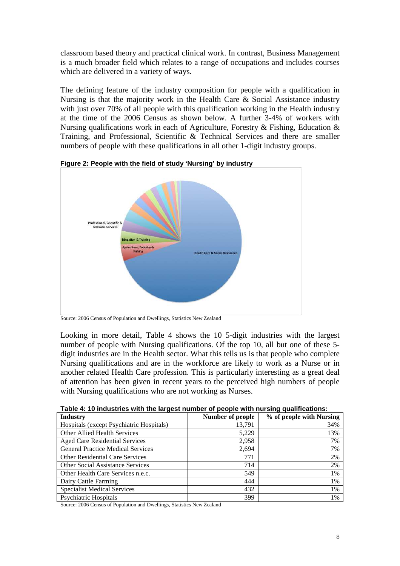classroom based theory and practical clinical work. In contrast, Business Management is a much broader field which relates to a range of occupations and includes courses which are delivered in a variety of ways.

The defining feature of the industry composition for people with a qualification in Nursing is that the majority work in the Health Care & Social Assistance industry with just over 70% of all people with this qualification working in the Health industry at the time of the 2006 Census as shown below. A further 3-4% of workers with Nursing qualifications work in each of Agriculture, Forestry & Fishing, Education & Training, and Professional, Scientific & Technical Services and there are smaller numbers of people with these qualifications in all other 1-digit industry groups.



**Figure 2: People with the field of study 'Nursing' by industry** 

Source: 2006 Census of Population and Dwellings, Statistics New Zealand

Looking in more detail, Table 4 shows the 10 5-digit industries with the largest number of people with Nursing qualifications. Of the top 10, all but one of these 5 digit industries are in the Health sector. What this tells us is that people who complete Nursing qualifications and are in the workforce are likely to work as a Nurse or in another related Health Care profession. This is particularly interesting as a great deal of attention has been given in recent years to the perceived high numbers of people with Nursing qualifications who are not working as Nurses.

| <b>Industry</b>                          | Number of people | % of people with Nursing |
|------------------------------------------|------------------|--------------------------|
| Hospitals (except Psychiatric Hospitals) | 13,791           | 34%                      |
| <b>Other Allied Health Services</b>      | 5,229            | 13%                      |
| <b>Aged Care Residential Services</b>    | 2,958            | 7%                       |
| <b>General Practice Medical Services</b> | 2,694            | 7%                       |
| Other Residential Care Services          | 771              | 2%                       |
| <b>Other Social Assistance Services</b>  | 714              | 2%                       |
| Other Health Care Services n.e.c.        | 549              | 1%                       |
| Dairy Cattle Farming                     | 444              | $1\%$                    |
| <b>Specialist Medical Services</b>       | 432              | 1%                       |
| Psychiatric Hospitals                    | 399              | $1\%$                    |

Source: 2006 Census of Population and Dwellings, Statistics New Zealand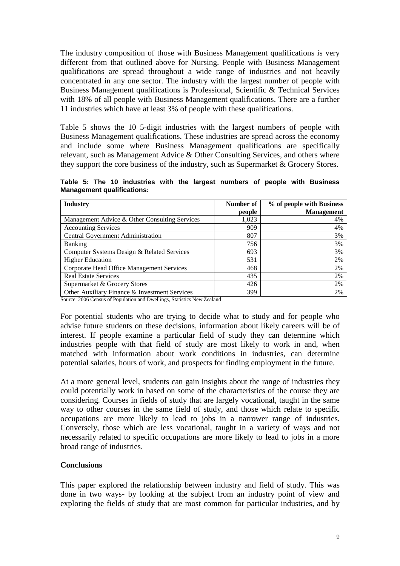The industry composition of those with Business Management qualifications is very different from that outlined above for Nursing. People with Business Management qualifications are spread throughout a wide range of industries and not heavily concentrated in any one sector. The industry with the largest number of people with Business Management qualifications is Professional, Scientific & Technical Services with 18% of all people with Business Management qualifications. There are a further 11 industries which have at least 3% of people with these qualifications.

Table 5 shows the 10 5-digit industries with the largest numbers of people with Business Management qualifications. These industries are spread across the economy and include some where Business Management qualifications are specifically relevant, such as Management Advice & Other Consulting Services, and others where they support the core business of the industry, such as Supermarket & Grocery Stores.

**Table 5: The 10 industries with the largest numbers of people with Business Management qualifications:** 

| <b>Industry</b>                               | Number of | % of people with Business |
|-----------------------------------------------|-----------|---------------------------|
|                                               | people    | <b>Management</b>         |
| Management Advice & Other Consulting Services | 1,023     | 4%                        |
| <b>Accounting Services</b>                    | 909       | 4%                        |
| <b>Central Government Administration</b>      | 807       | 3%                        |
| <b>Banking</b>                                | 756       | 3%                        |
| Computer Systems Design & Related Services    | 693       | 3%                        |
| <b>Higher Education</b>                       | 531       | 2%                        |
| Corporate Head Office Management Services     | 468       | 2%                        |
| <b>Real Estate Services</b>                   | 435       | 2%                        |
| Supermarket & Grocery Stores                  | 426       | 2%                        |
| Other Auxiliary Finance & Investment Services | 399       | 2%                        |

Source: 2006 Census of Population and Dwellings, Statistics New Zealand

For potential students who are trying to decide what to study and for people who advise future students on these decisions, information about likely careers will be of interest. If people examine a particular field of study they can determine which industries people with that field of study are most likely to work in and, when matched with information about work conditions in industries, can determine potential salaries, hours of work, and prospects for finding employment in the future.

At a more general level, students can gain insights about the range of industries they could potentially work in based on some of the characteristics of the course they are considering. Courses in fields of study that are largely vocational, taught in the same way to other courses in the same field of study, and those which relate to specific occupations are more likely to lead to jobs in a narrower range of industries. Conversely, those which are less vocational, taught in a variety of ways and not necessarily related to specific occupations are more likely to lead to jobs in a more broad range of industries.

## **Conclusions**

This paper explored the relationship between industry and field of study. This was done in two ways- by looking at the subject from an industry point of view and exploring the fields of study that are most common for particular industries, and by